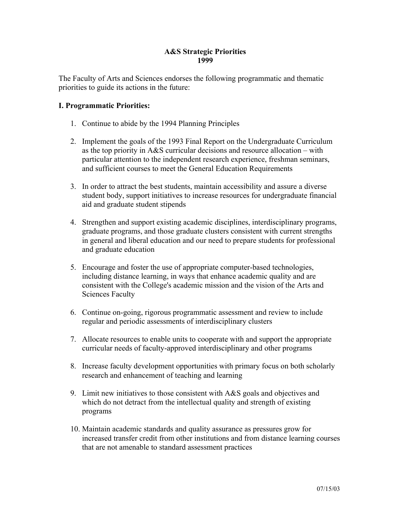## **A&S Strategic Priorities 1999**

The Faculty of Arts and Sciences endorses the following programmatic and thematic priorities to guide its actions in the future:

## **I. Programmatic Priorities:**

- 1. Continue to abide by the 1994 Planning Principles
- 2. Implement the goals of the 1993 Final Report on the Undergraduate Curriculum as the top priority in A&S curricular decisions and resource allocation – with particular attention to the independent research experience, freshman seminars, and sufficient courses to meet the General Education Requirements
- 3. In order to attract the best students, maintain accessibility and assure a diverse student body, support initiatives to increase resources for undergraduate financial aid and graduate student stipends
- 4. Strengthen and support existing academic disciplines, interdisciplinary programs, graduate programs, and those graduate clusters consistent with current strengths in general and liberal education and our need to prepare students for professional and graduate education
- 5. Encourage and foster the use of appropriate computer-based technologies, including distance learning, in ways that enhance academic quality and are consistent with the College's academic mission and the vision of the Arts and Sciences Faculty
- 6. Continue on-going, rigorous programmatic assessment and review to include regular and periodic assessments of interdisciplinary clusters
- 7. Allocate resources to enable units to cooperate with and support the appropriate curricular needs of faculty-approved interdisciplinary and other programs
- 8. Increase faculty development opportunities with primary focus on both scholarly research and enhancement of teaching and learning
- 9. Limit new initiatives to those consistent with A&S goals and objectives and which do not detract from the intellectual quality and strength of existing programs
- 10. Maintain academic standards and quality assurance as pressures grow for increased transfer credit from other institutions and from distance learning courses that are not amenable to standard assessment practices